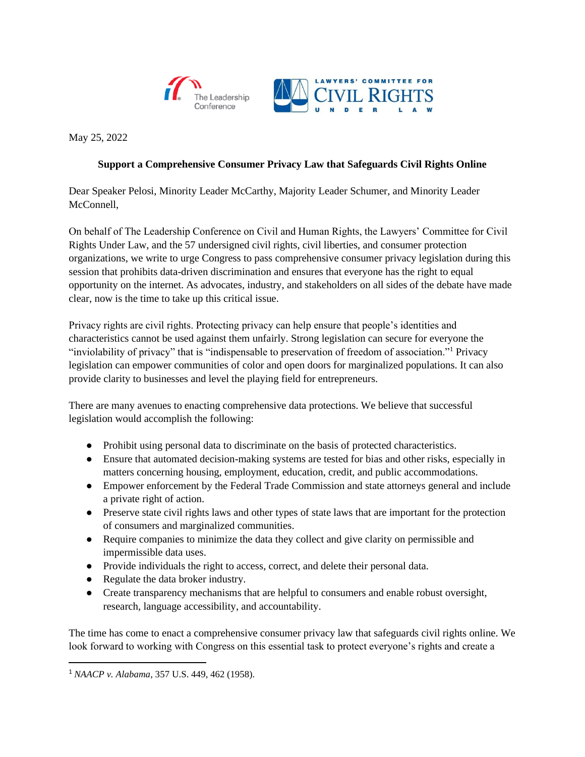



May 25, 2022

## **Support a Comprehensive Consumer Privacy Law that Safeguards Civil Rights Online**

Dear Speaker Pelosi, Minority Leader McCarthy, Majority Leader Schumer, and Minority Leader McConnell.

On behalf of The Leadership Conference on Civil and Human Rights, the Lawyers' Committee for Civil Rights Under Law, and the 57 undersigned civil rights, civil liberties, and consumer protection organizations, we write to urge Congress to pass comprehensive consumer privacy legislation during this session that prohibits data-driven discrimination and ensures that everyone has the right to equal opportunity on the internet. As advocates, industry, and stakeholders on all sides of the debate have made clear, now is the time to take up this critical issue.

Privacy rights are civil rights. Protecting privacy can help ensure that people's identities and characteristics cannot be used against them unfairly. Strong legislation can secure for everyone the "inviolability of privacy" that is "indispensable to preservation of freedom of association."<sup>1</sup> Privacy legislation can empower communities of color and open doors for marginalized populations. It can also provide clarity to businesses and level the playing field for entrepreneurs.

There are many avenues to enacting comprehensive data protections. We believe that successful legislation would accomplish the following:

- Prohibit using personal data to discriminate on the basis of protected characteristics.
- Ensure that automated decision-making systems are tested for bias and other risks, especially in matters concerning housing, employment, education, credit, and public accommodations.
- Empower enforcement by the Federal Trade Commission and state attorneys general and include a private right of action.
- Preserve state civil rights laws and other types of state laws that are important for the protection of consumers and marginalized communities.
- Require companies to minimize the data they collect and give clarity on permissible and impermissible data uses.
- Provide individuals the right to access, correct, and delete their personal data.
- Regulate the data broker industry.
- Create transparency mechanisms that are helpful to consumers and enable robust oversight, research, language accessibility, and accountability.

The time has come to enact a comprehensive consumer privacy law that safeguards civil rights online. We look forward to working with Congress on this essential task to protect everyone's rights and create a

<sup>1</sup> *NAACP v. Alabama*, 357 U.S. 449, 462 (1958).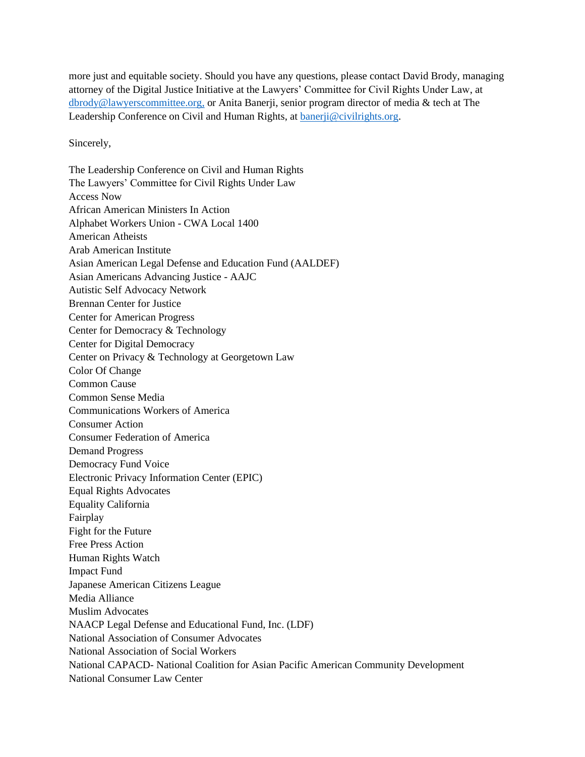more just and equitable society. Should you have any questions, please contact David Brody, managing attorney of the Digital Justice Initiative at the Lawyers' Committee for Civil Rights Under Law, at [dbrody@lawyerscommittee.org,](mailto:dbrody@lawyerscommittee.org) or Anita Banerji, senior program director of media & tech at The Leadership Conference on Civil and Human Rights, at [banerji@civilrights.org.](mailto:banerji@civilrights.org)

Sincerely,

The Leadership Conference on Civil and Human Rights The Lawyers' Committee for Civil Rights Under Law Access Now African American Ministers In Action Alphabet Workers Union - CWA Local 1400 American Atheists Arab American Institute Asian American Legal Defense and Education Fund (AALDEF) Asian Americans Advancing Justice - AAJC Autistic Self Advocacy Network Brennan Center for Justice Center for American Progress Center for Democracy & Technology Center for Digital Democracy Center on Privacy & Technology at Georgetown Law Color Of Change Common Cause Common Sense Media Communications Workers of America Consumer Action Consumer Federation of America Demand Progress Democracy Fund Voice Electronic Privacy Information Center (EPIC) Equal Rights Advocates Equality California Fairplay Fight for the Future Free Press Action Human Rights Watch Impact Fund Japanese American Citizens League Media Alliance Muslim Advocates NAACP Legal Defense and Educational Fund, Inc. (LDF) National Association of Consumer Advocates National Association of Social Workers National CAPACD- National Coalition for Asian Pacific American Community Development National Consumer Law Center